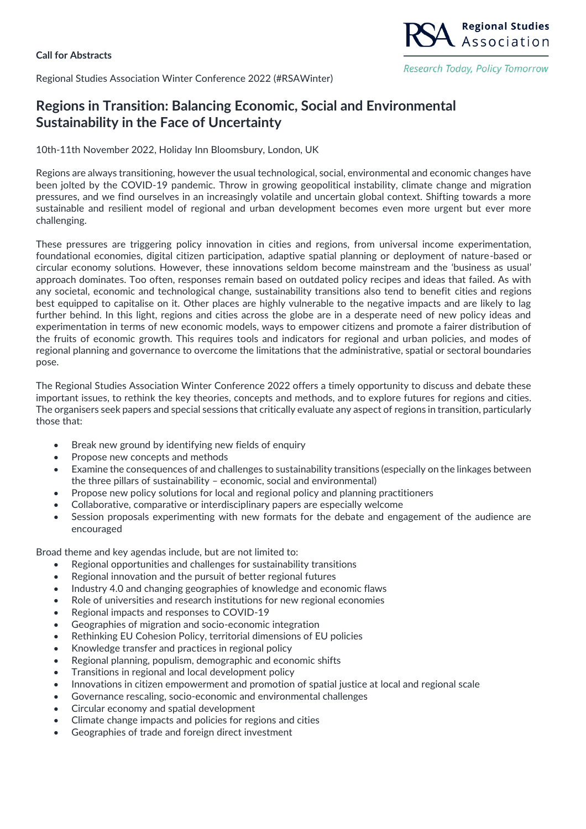## **Call for Abstracts**

Regional Studies Association Winter Conference 2022 (#RSAWinter)

## **Regions in Transition: Balancing Economic, Social and Environmental Sustainability in the Face of Uncertainty**

10th-11th November 2022, Holiday Inn Bloomsbury, London, UK

Regions are always transitioning, however the usual technological, social, environmental and economic changes have been jolted by the COVID-19 pandemic. Throw in growing geopolitical instability, climate change and migration pressures, and we find ourselves in an increasingly volatile and uncertain global context. Shifting towards a more sustainable and resilient model of regional and urban development becomes even more urgent but ever more challenging.

**Regional Studies** Association

Research Today, Policy Tomorrow

These pressures are triggering policy innovation in cities and regions, from universal income experimentation, foundational economies, digital citizen participation, adaptive spatial planning or deployment of nature-based or circular economy solutions. However, these innovations seldom become mainstream and the 'business as usual' approach dominates. Too often, responses remain based on outdated policy recipes and ideas that failed. As with any societal, economic and technological change, sustainability transitions also tend to benefit cities and regions best equipped to capitalise on it. Other places are highly vulnerable to the negative impacts and are likely to lag further behind. In this light, regions and cities across the globe are in a desperate need of new policy ideas and experimentation in terms of new economic models, ways to empower citizens and promote a fairer distribution of the fruits of economic growth. This requires tools and indicators for regional and urban policies, and modes of regional planning and governance to overcome the limitations that the administrative, spatial or sectoral boundaries pose.

The Regional Studies Association Winter Conference 2022 offers a timely opportunity to discuss and debate these important issues, to rethink the key theories, concepts and methods, and to explore futures for regions and cities. The organisers seek papers and special sessions that critically evaluate any aspect of regions in transition, particularly those that:

- Break new ground by identifying new fields of enquiry
- Propose new concepts and methods
- Examine the consequences of and challenges to sustainability transitions (especially on the linkages between the three pillars of sustainability – economic, social and environmental)
- Propose new policy solutions for local and regional policy and planning practitioners
- Collaborative, comparative or interdisciplinary papers are especially welcome
- Session proposals experimenting with new formats for the debate and engagement of the audience are encouraged

Broad theme and key agendas include, but are not limited to:

- Regional opportunities and challenges for sustainability transitions
- Regional innovation and the pursuit of better regional futures
- Industry 4.0 and changing geographies of knowledge and economic flaws
- Role of universities and research institutions for new regional economies
- Regional impacts and responses to COVID-19
- Geographies of migration and socio-economic integration
- Rethinking EU Cohesion Policy, territorial dimensions of EU policies
- Knowledge transfer and practices in regional policy
- Regional planning, populism, demographic and economic shifts
- Transitions in regional and local development policy
- Innovations in citizen empowerment and promotion of spatial justice at local and regional scale
- Governance rescaling, socio-economic and environmental challenges
- Circular economy and spatial development
- Climate change impacts and policies for regions and cities
- Geographies of trade and foreign direct investment